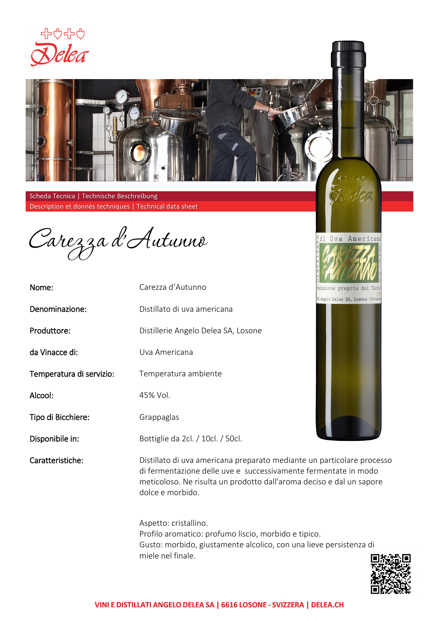



Carezza d'Autunno

| Nome:                    | Carezza d'Autunno                    |
|--------------------------|--------------------------------------|
| Denominazione:           | Distillato di uva americana          |
| Produttore:              | Distillerie Angelo Delea SA, Losone  |
| da Vinacce di:           | Uva Americana                        |
| Temperatura di servizio: | Temperatura ambiente                 |
| Alcool:                  | 45% Vol.                             |
| Tipo di Bicchiere:       | Grappaglas                           |
| Disponibile in:          | Bottiglie da 2cl. / 10cl. / 50cl.    |
| Caratteristiche:         | Distillato di uva americana preparat |

hoduzione propria del Ticin W Angelo Delea SA, Losone - Svizzen

di Uva Americana

Iclea



co mediante un particolare processo di fermentazione delle uve e successivamente fermentate in modo meticoloso. Ne risulta un prodotto dall'aroma deciso e dal un sapore dolce e morbido.

Aspetto: cristallino. Profilo aromatico: profumo liscio, morbido e tipico. Gusto: morbido, giustamente alcolico, con una lieve persistenza di miele nel finale.

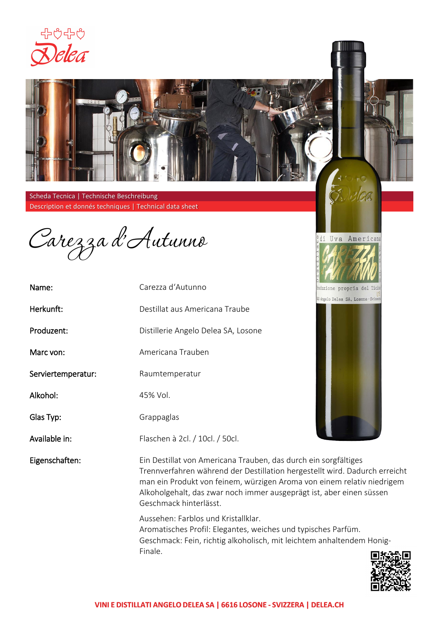



Carezza d'Autunno

| Name:              | Carezza d'Autunno                                                                                               |
|--------------------|-----------------------------------------------------------------------------------------------------------------|
| Herkunft:          | Destillat aus Americana Traube                                                                                  |
| Produzent:         | Distillerie Angelo Delea SA, Losone                                                                             |
| Marc von:          | Americana Trauben                                                                                               |
| Serviertemperatur: | Raumtemperatur                                                                                                  |
| Alkohol:           | 45% Vol.                                                                                                        |
| Glas Typ:          | Grappaglas                                                                                                      |
| Available in:      | Flaschen à 2cl. / 10cl. / 50cl.                                                                                 |
| Eigenschaften:     | Ein Destillat von Americana Trauber<br>Trennverfahren während der Destill<br>man ein Produkt von feinem, würzig |

hoduzione propria del Ticim W Angelo Delea SA, Losone - Svizzen

Idea

di Uva Americana

n, das durch ein sorgfältiges lation hergestellt wird. Dadurch erreicht igen Aroma von einem relativ niedrigem Alkoholgehalt, das zwar noch immer ausgeprägt ist, aber einen süssen Geschmack hinterlässt.

Aussehen: Farblos und Kristallklar. Aromatisches Profil: Elegantes, weiches und typisches Parfüm. Geschmack: Fein, richtig alkoholisch, mit leichtem anhaltendem Honig-Finale.

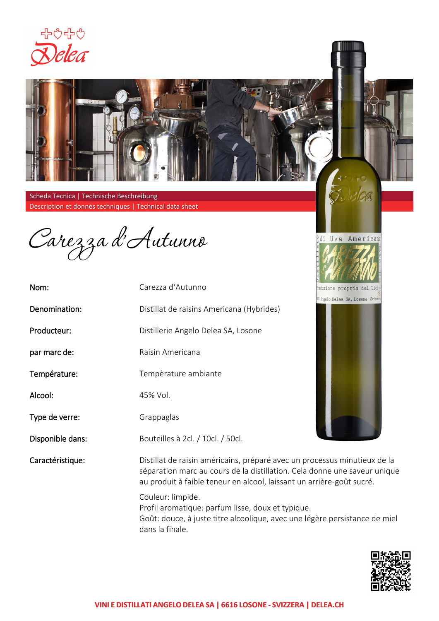



Carezza d'Autunno

| Nom:             | Carezza d'Autunno                           |
|------------------|---------------------------------------------|
| Denomination:    | Distillat de raisins Americana (Hybrides)   |
| Producteur:      | Distillerie Angelo Delea SA, Losone         |
| par marc de:     | Raisin Americana                            |
| Température:     | Tempèrature ambiante                        |
| Alcool:          | 45% Vol.                                    |
| Type de verre:   | Grappaglas                                  |
| Disponible dans: | Bouteilles à 2cl. / 10cl. / 50cl.           |
| Caractéristique: | Distillat de raisin américains, préparé ave |

Produzione propria del Ticino W Angelo Delea SA, Losone - Svizzen

Delea

di Uva Americana

c un processus minutieux de la séparation marc au cours de la distillation. Cela donne une saveur unique au produit à faible teneur en alcool, laissant un arrière-goût sucré. Couleur: limpide.

Profil aromatique: parfum lisse, doux et typique. Goût: douce, à juste titre alcoolique, avec une légère persistance de miel dans la finale.